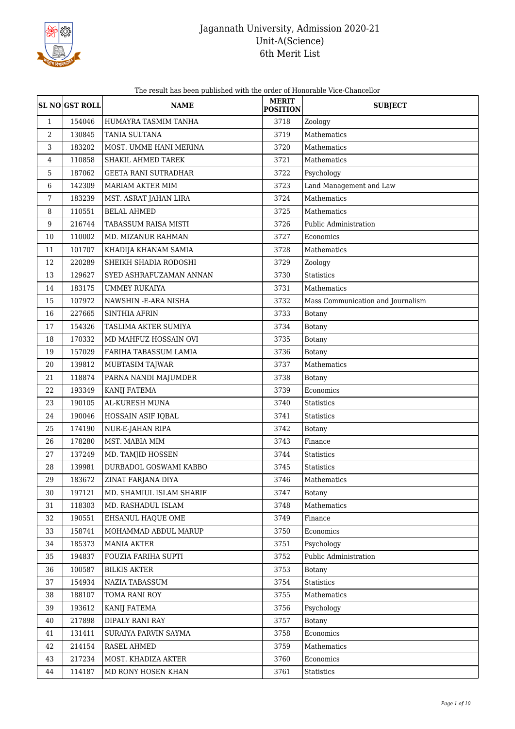

The result has been published with the order of Honorable Vice-Chancellor

|                | <b>SL NO GST ROLL</b> | <b>NAME</b>                 | <b>MERIT</b><br><b>POSITION</b> | <b>SUBJECT</b>                    |
|----------------|-----------------------|-----------------------------|---------------------------------|-----------------------------------|
| $\mathbf{1}$   | 154046                | HUMAYRA TASMIM TANHA        | 3718                            | Zoology                           |
| $\overline{2}$ | 130845                | TANIA SULTANA               | 3719                            | Mathematics                       |
| 3              | 183202                | MOST. UMME HANI MERINA      | 3720                            | Mathematics                       |
| 4              | 110858                | SHAKIL AHMED TAREK          | 3721                            | Mathematics                       |
| 5              | 187062                | <b>GEETA RANI SUTRADHAR</b> | 3722                            | Psychology                        |
| 6              | 142309                | MARIAM AKTER MIM            | 3723                            | Land Management and Law           |
| 7              | 183239                | MST. ASRAT JAHAN LIRA       | 3724                            | Mathematics                       |
| 8              | 110551                | <b>BELAL AHMED</b>          | 3725                            | Mathematics                       |
| 9              | 216744                | TABASSUM RAISA MISTI        | 3726                            | Public Administration             |
| 10             | 110002                | MD. MIZANUR RAHMAN          | 3727                            | Economics                         |
| 11             | 101707                | KHADIJA KHANAM SAMIA        | 3728                            | Mathematics                       |
| 12             | 220289                | SHEIKH SHADIA RODOSHI       | 3729                            | Zoology                           |
| 13             | 129627                | SYED ASHRAFUZAMAN ANNAN     | 3730                            | <b>Statistics</b>                 |
| 14             | 183175                | <b>UMMEY RUKAIYA</b>        | 3731                            | Mathematics                       |
| 15             | 107972                | NAWSHIN - E-ARA NISHA       | 3732                            | Mass Communication and Journalism |
| 16             | 227665                | <b>SINTHIA AFRIN</b>        | 3733                            | Botany                            |
| 17             | 154326                | TASLIMA AKTER SUMIYA        | 3734                            | <b>Botany</b>                     |
| 18             | 170332                | MD MAHFUZ HOSSAIN OVI       | 3735                            | <b>Botany</b>                     |
| 19             | 157029                | FARIHA TABASSUM LAMIA       | 3736                            | <b>Botany</b>                     |
| 20             | 139812                | MUBTASIM TAJWAR             | 3737                            | Mathematics                       |
| 21             | 118874                | PARNA NANDI MAJUMDER        | 3738                            | <b>Botany</b>                     |
| 22             | 193349                | KANIJ FATEMA                | 3739                            | Economics                         |
| 23             | 190105                | AL-KURESH MUNA              | 3740                            | <b>Statistics</b>                 |
| 24             | 190046                | HOSSAIN ASIF IQBAL          | 3741                            | Statistics                        |
| 25             | 174190                | NUR-E-JAHAN RIPA            | 3742                            | Botany                            |
| 26             | 178280                | MST. MABIA MIM              | 3743                            | Finance                           |
| 27             | 137249                | MD. TAMJID HOSSEN           | 3744                            | <b>Statistics</b>                 |
| 28             | 139981                | DURBADOL GOSWAMI KABBO      | 3745                            | <b>Statistics</b>                 |
| 29             | 183672                | ZINAT FARJANA DIYA          | 3746                            | Mathematics                       |
| 30             | 197121                | MD. SHAMIUL ISLAM SHARIF    | 3747                            | Botany                            |
| 31             | 118303                | MD. RASHADUL ISLAM          | 3748                            | Mathematics                       |
| 32             | 190551                | EHSANUL HAQUE OME           | 3749                            | Finance                           |
| 33             | 158741                | MOHAMMAD ABDUL MARUP        | 3750                            | Economics                         |
| 34             | 185373                | <b>MANIA AKTER</b>          | 3751                            | Psychology                        |
| 35             | 194837                | FOUZIA FARIHA SUPTI         | 3752                            | Public Administration             |
| 36             | 100587                | <b>BILKIS AKTER</b>         | 3753                            | <b>Botany</b>                     |
| 37             | 154934                | NAZIA TABASSUM              | 3754                            | Statistics                        |
| 38             | 188107                | TOMA RANI ROY               | 3755                            | Mathematics                       |
| 39             | 193612                | KANIJ FATEMA                | 3756                            | Psychology                        |
| 40             | 217898                | DIPALY RANI RAY             | 3757                            | <b>Botany</b>                     |
| 41             | 131411                | SURAIYA PARVIN SAYMA        | 3758                            | Economics                         |
| 42             | 214154                | RASEL AHMED                 | 3759                            | Mathematics                       |
| 43             | 217234                | MOST. KHADIZA AKTER         | 3760                            | Economics                         |
| 44             | 114187                | MD RONY HOSEN KHAN          | 3761                            | Statistics                        |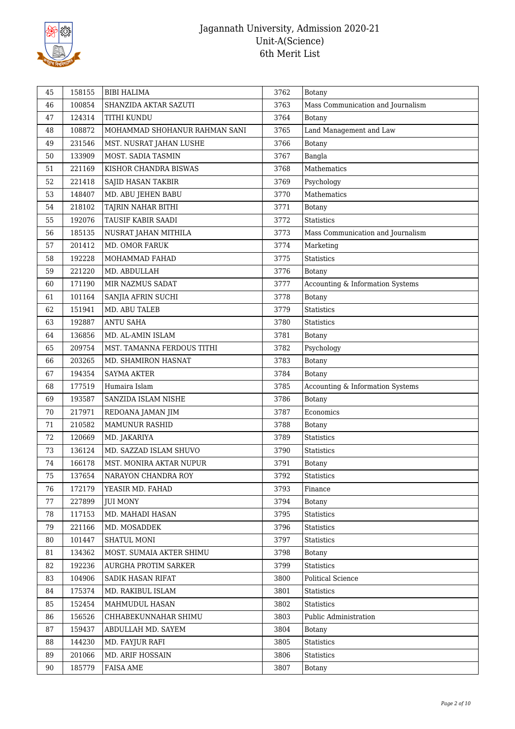

| 45 | 158155 | <b>BIBI HALIMA</b>            | 3762 | <b>Botany</b>                     |
|----|--------|-------------------------------|------|-----------------------------------|
| 46 | 100854 | SHANZIDA AKTAR SAZUTI         | 3763 | Mass Communication and Journalism |
| 47 | 124314 | TITHI KUNDU                   | 3764 | Botany                            |
| 48 | 108872 | MOHAMMAD SHOHANUR RAHMAN SANI | 3765 | Land Management and Law           |
| 49 | 231546 | MST. NUSRAT JAHAN LUSHE       | 3766 | Botany                            |
| 50 | 133909 | MOST. SADIA TASMIN            | 3767 | Bangla                            |
| 51 | 221169 | KISHOR CHANDRA BISWAS         | 3768 | Mathematics                       |
| 52 | 221418 | SAJID HASAN TAKBIR            | 3769 | Psychology                        |
| 53 | 148407 | MD. ABU JEHEN BABU            | 3770 | Mathematics                       |
| 54 | 218102 | TAJRIN NAHAR BITHI            | 3771 | <b>Botany</b>                     |
| 55 | 192076 | TAUSIF KABIR SAADI            | 3772 | <b>Statistics</b>                 |
| 56 | 185135 | NUSRAT JAHAN MITHILA          | 3773 | Mass Communication and Journalism |
| 57 | 201412 | MD. OMOR FARUK                | 3774 | Marketing                         |
| 58 | 192228 | MOHAMMAD FAHAD                | 3775 | Statistics                        |
| 59 | 221220 | MD. ABDULLAH                  | 3776 | Botany                            |
| 60 | 171190 | MIR NAZMUS SADAT              | 3777 | Accounting & Information Systems  |
| 61 | 101164 | SANJIA AFRIN SUCHI            | 3778 | Botany                            |
| 62 | 151941 | MD. ABU TALEB                 | 3779 | Statistics                        |
| 63 | 192887 | <b>ANTU SAHA</b>              | 3780 | <b>Statistics</b>                 |
| 64 | 136856 | MD. AL-AMIN ISLAM             | 3781 | Botany                            |
| 65 | 209754 | MST. TAMANNA FERDOUS TITHI    | 3782 | Psychology                        |
| 66 | 203265 | MD. SHAMIRON HASNAT           | 3783 | Botany                            |
| 67 | 194354 | <b>SAYMA AKTER</b>            | 3784 | <b>Botany</b>                     |
| 68 | 177519 | Humaira Islam                 | 3785 | Accounting & Information Systems  |
| 69 | 193587 | SANZIDA ISLAM NISHE           | 3786 | Botany                            |
| 70 | 217971 | REDOANA JAMAN JIM             | 3787 | Economics                         |
| 71 | 210582 | <b>MAMUNUR RASHID</b>         | 3788 | <b>Botany</b>                     |
| 72 | 120669 | MD. JAKARIYA                  | 3789 | <b>Statistics</b>                 |
| 73 | 136124 | MD. SAZZAD ISLAM SHUVO        | 3790 | Statistics                        |
| 74 | 166178 | MST. MONIRA AKTAR NUPUR       | 3791 | Botany                            |
| 75 | 137654 | NARAYON CHANDRA ROY           | 3792 | Statistics                        |
| 76 | 172179 | YEASIR MD. FAHAD              | 3793 | Finance                           |
| 77 | 227899 | <b>JUI MONY</b>               | 3794 | Botany                            |
| 78 | 117153 | MD. MAHADI HASAN              | 3795 | Statistics                        |
| 79 | 221166 | MD. MOSADDEK                  | 3796 | Statistics                        |
| 80 | 101447 | SHATUL MONI                   | 3797 | Statistics                        |
| 81 | 134362 | MOST. SUMAIA AKTER SHIMU      | 3798 | Botany                            |
| 82 | 192236 | AURGHA PROTIM SARKER          | 3799 | Statistics                        |
| 83 | 104906 | SADIK HASAN RIFAT             | 3800 | <b>Political Science</b>          |
| 84 | 175374 | MD. RAKIBUL ISLAM             | 3801 | Statistics                        |
| 85 | 152454 | MAHMUDUL HASAN                | 3802 | <b>Statistics</b>                 |
| 86 | 156526 | CHHABEKUNNAHAR SHIMU          | 3803 | Public Administration             |
| 87 | 159437 | ABDULLAH MD. SAYEM            | 3804 | Botany                            |
| 88 | 144230 | MD. FAYJUR RAFI               | 3805 | Statistics                        |
| 89 | 201066 | MD. ARIF HOSSAIN              | 3806 | <b>Statistics</b>                 |
| 90 | 185779 | <b>FAISA AME</b>              | 3807 | Botany                            |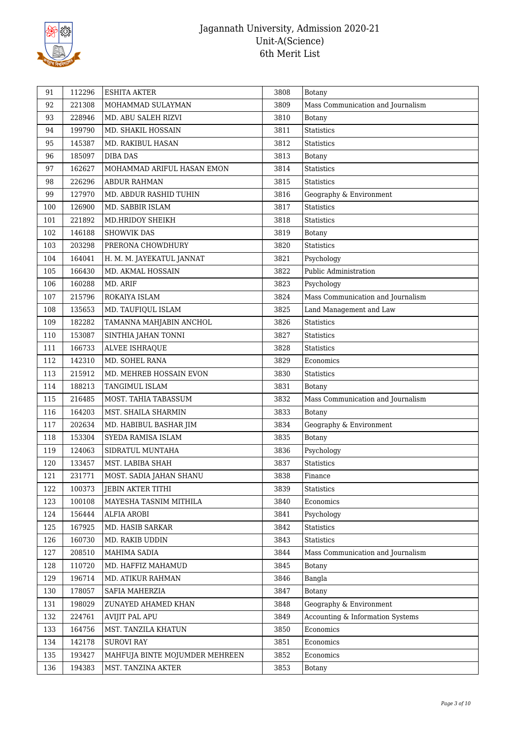

| 91            | 112296 | <b>ESHITA AKTER</b>            | 3808 | <b>Botany</b>                     |
|---------------|--------|--------------------------------|------|-----------------------------------|
| 92            | 221308 | MOHAMMAD SULAYMAN              | 3809 | Mass Communication and Journalism |
| 93            | 228946 | MD. ABU SALEH RIZVI            | 3810 | Botany                            |
| 94            | 199790 | MD. SHAKIL HOSSAIN             | 3811 | <b>Statistics</b>                 |
| 95            | 145387 | MD. RAKIBUL HASAN              | 3812 | <b>Statistics</b>                 |
| 96            | 185097 | <b>DIBA DAS</b>                | 3813 | <b>Botany</b>                     |
| 162627<br>97  |        | MOHAMMAD ARIFUL HASAN EMON     | 3814 | <b>Statistics</b>                 |
| 98            | 226296 | ABDUR RAHMAN                   | 3815 | Statistics                        |
| 99            | 127970 | MD. ABDUR RASHID TUHIN         | 3816 | Geography & Environment           |
| 100<br>126900 |        | MD. SABBIR ISLAM               | 3817 | <b>Statistics</b>                 |
| 101<br>221892 |        | MD.HRIDOY SHEIKH               | 3818 | <b>Statistics</b>                 |
| 102<br>146188 |        | <b>SHOWVIK DAS</b>             | 3819 | <b>Botany</b>                     |
| 103           | 203298 | PRERONA CHOWDHURY              | 3820 | Statistics                        |
| 104<br>164041 |        | H. M. M. JAYEKATUL JANNAT      | 3821 | Psychology                        |
| 105           | 166430 | MD. AKMAL HOSSAIN              | 3822 | Public Administration             |
| 106           | 160288 | MD. ARIF                       | 3823 | Psychology                        |
| 107           | 215796 | ROKAIYA ISLAM                  | 3824 | Mass Communication and Journalism |
| 108<br>135653 |        | MD. TAUFIQUL ISLAM             | 3825 | Land Management and Law           |
| 109           | 182282 | TAMANNA MAHJABIN ANCHOL        | 3826 | Statistics                        |
| 110           | 153087 | SINTHIA JAHAN TONNI            | 3827 | Statistics                        |
| 111           | 166733 | ALVEE ISHRAQUE                 | 3828 | <b>Statistics</b>                 |
| 112           | 142310 | MD. SOHEL RANA                 | 3829 | Economics                         |
| 113<br>215912 |        | MD. MEHREB HOSSAIN EVON        | 3830 | <b>Statistics</b>                 |
| 114           | 188213 | TANGIMUL ISLAM                 | 3831 | <b>Botany</b>                     |
| 115           | 216485 | MOST. TAHIA TABASSUM           | 3832 | Mass Communication and Journalism |
| 116           | 164203 | MST. SHAILA SHARMIN            | 3833 | <b>Botany</b>                     |
| 117           | 202634 | MD. HABIBUL BASHAR JIM         | 3834 | Geography & Environment           |
| 118<br>153304 |        | SYEDA RAMISA ISLAM             | 3835 | Botany                            |
| 124063<br>119 |        | SIDRATUL MUNTAHA               | 3836 | Psychology                        |
| 120<br>133457 |        | MST. LABIBA SHAH               | 3837 | Statistics                        |
| 121<br>231771 |        | MOST. SADIA JAHAN SHANU        | 3838 | Finance                           |
| 122           | 100373 | JEBIN AKTER TITHI              | 3839 | Statistics                        |
| 123           | 100108 | MAYESHA TASNIM MITHILA         | 3840 | Economics                         |
| 124           | 156444 | ALFIA AROBI                    | 3841 | Psychology                        |
| 125           | 167925 | MD. HASIB SARKAR               | 3842 | Statistics                        |
| 126           | 160730 | MD. RAKIB UDDIN                | 3843 | Statistics                        |
| 127           | 208510 | MAHIMA SADIA                   | 3844 | Mass Communication and Journalism |
| 128           | 110720 | MD. HAFFIZ MAHAMUD             | 3845 | <b>Botany</b>                     |
| 129           | 196714 | MD. ATIKUR RAHMAN              | 3846 | Bangla                            |
| 130           | 178057 | SAFIA MAHERZIA                 | 3847 | Botany                            |
| 131           | 198029 | ZUNAYED AHAMED KHAN            | 3848 | Geography & Environment           |
| 132           | 224761 | AVIJIT PAL APU                 | 3849 | Accounting & Information Systems  |
| 133           | 164756 | MST. TANZILA KHATUN            | 3850 | Economics                         |
| 134           | 142178 | <b>SUROVI RAY</b>              | 3851 | Economics                         |
| 135           | 193427 | MAHFUJA BINTE MOJUMDER MEHREEN | 3852 | Economics                         |
| 136<br>194383 |        | MST. TANZINA AKTER             | 3853 | <b>Botany</b>                     |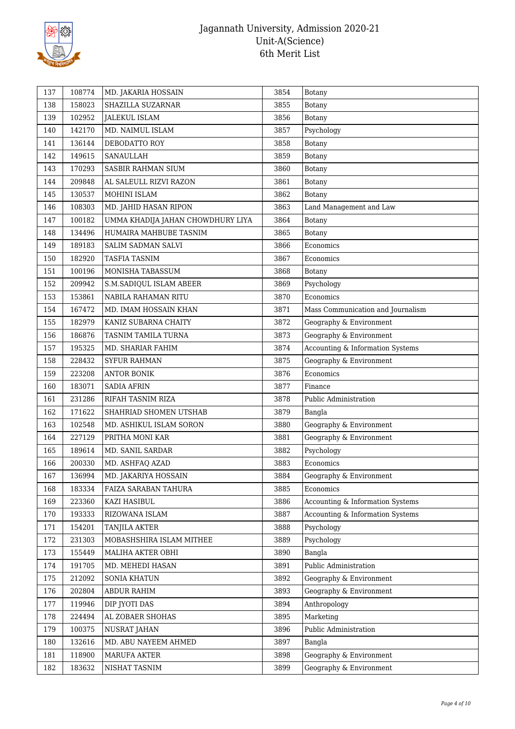

| 137 | 108774 | MD. JAKARIA HOSSAIN               | 3854 | <b>Botany</b>                     |
|-----|--------|-----------------------------------|------|-----------------------------------|
| 138 | 158023 | SHAZILLA SUZARNAR                 | 3855 | Botany                            |
| 139 | 102952 | <b>JALEKUL ISLAM</b>              | 3856 | Botany                            |
| 140 | 142170 | MD. NAIMUL ISLAM                  | 3857 | Psychology                        |
| 141 | 136144 | DEBODATTO ROY                     | 3858 | <b>Botany</b>                     |
| 142 | 149615 | SANAULLAH                         | 3859 | <b>Botany</b>                     |
| 143 | 170293 | SASBIR RAHMAN SIUM                | 3860 | <b>Botany</b>                     |
| 144 | 209848 | AL SALEULL RIZVI RAZON            | 3861 | <b>Botany</b>                     |
| 145 | 130537 | MOHINI ISLAM                      | 3862 | Botany                            |
| 146 | 108303 | MD. JAHID HASAN RIPON             | 3863 | Land Management and Law           |
| 147 | 100182 | UMMA KHADIJA JAHAN CHOWDHURY LIYA | 3864 | Botany                            |
| 148 | 134496 | HUMAIRA MAHBUBE TASNIM            | 3865 | <b>Botany</b>                     |
| 149 | 189183 | SALIM SADMAN SALVI                | 3866 | Economics                         |
| 150 | 182920 | TASFIA TASNIM                     | 3867 | Economics                         |
| 151 | 100196 | MONISHA TABASSUM                  | 3868 | Botany                            |
| 152 | 209942 | S.M.SADIQUL ISLAM ABEER           | 3869 | Psychology                        |
| 153 | 153861 | NABILA RAHAMAN RITU               | 3870 | Economics                         |
| 154 | 167472 | MD. IMAM HOSSAIN KHAN             | 3871 | Mass Communication and Journalism |
| 155 | 182979 | KANIZ SUBARNA CHAITY              | 3872 | Geography & Environment           |
| 156 | 186876 | TASNIM TAMILA TURNA               | 3873 | Geography & Environment           |
| 157 | 195325 | MD. SHARIAR FAHIM                 | 3874 | Accounting & Information Systems  |
| 158 | 228432 | <b>SYFUR RAHMAN</b>               | 3875 | Geography & Environment           |
| 159 | 223208 | <b>ANTOR BONIK</b>                | 3876 | Economics                         |
| 160 | 183071 | <b>SADIA AFRIN</b>                | 3877 | Finance                           |
| 161 | 231286 | RIFAH TASNIM RIZA                 | 3878 | Public Administration             |
| 162 | 171622 | SHAHRIAD SHOMEN UTSHAB            | 3879 | Bangla                            |
| 163 | 102548 | MD. ASHIKUL ISLAM SORON           | 3880 | Geography & Environment           |
| 164 | 227129 | PRITHA MONI KAR                   | 3881 | Geography & Environment           |
| 165 | 189614 | MD. SANIL SARDAR                  | 3882 | Psychology                        |
| 166 | 200330 | MD. ASHFAQ AZAD                   | 3883 | Economics                         |
| 167 | 136994 | MD. JAKARIYA HOSSAIN              | 3884 | Geography & Environment           |
| 168 | 183334 | FAIZA SARABAN TAHURA              | 3885 | Economics                         |
| 169 | 223360 | KAZI HASIBUL                      | 3886 | Accounting & Information Systems  |
| 170 | 193333 | RIZOWANA ISLAM                    | 3887 | Accounting & Information Systems  |
| 171 | 154201 | <b>TANJILA AKTER</b>              | 3888 | Psychology                        |
| 172 | 231303 | MOBASHSHIRA ISLAM MITHEE          | 3889 | Psychology                        |
| 173 | 155449 | MALIHA AKTER OBHI                 | 3890 | Bangla                            |
| 174 | 191705 | MD. MEHEDI HASAN                  | 3891 | Public Administration             |
| 175 | 212092 | SONIA KHATUN                      | 3892 | Geography & Environment           |
| 176 | 202804 | ABDUR RAHIM                       | 3893 | Geography & Environment           |
| 177 | 119946 | DIP JYOTI DAS                     | 3894 | Anthropology                      |
| 178 | 224494 | AL ZOBAER SHOHAS                  | 3895 | Marketing                         |
| 179 | 100375 | NUSRAT JAHAN                      | 3896 | Public Administration             |
| 180 | 132616 | MD. ABU NAYEEM AHMED              | 3897 | Bangla                            |
| 181 | 118900 | MARUFA AKTER                      | 3898 | Geography & Environment           |
|     |        |                                   | 3899 | Geography & Environment           |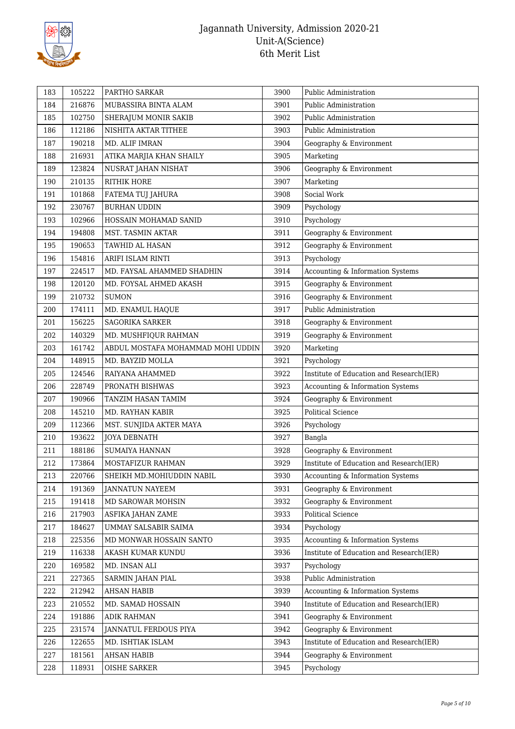

| 183 | 105222 | PARTHO SARKAR                     | 3900 | Public Administration                    |
|-----|--------|-----------------------------------|------|------------------------------------------|
| 184 | 216876 | MUBASSIRA BINTA ALAM              | 3901 | Public Administration                    |
| 185 | 102750 | SHERAJUM MONIR SAKIB              | 3902 | Public Administration                    |
| 186 | 112186 | NISHITA AKTAR TITHEE              | 3903 | Public Administration                    |
| 187 | 190218 | MD. ALIF IMRAN                    | 3904 | Geography & Environment                  |
| 188 | 216931 | ATIKA MARJIA KHAN SHAILY          | 3905 | Marketing                                |
| 189 | 123824 | NUSRAT JAHAN NISHAT               | 3906 | Geography & Environment                  |
| 190 | 210135 | <b>RITHIK HORE</b>                | 3907 | Marketing                                |
| 191 | 101868 | FATEMA TUJ JAHURA                 | 3908 | Social Work                              |
| 192 | 230767 | <b>BURHAN UDDIN</b>               | 3909 | Psychology                               |
| 193 | 102966 | HOSSAIN MOHAMAD SANID             | 3910 | Psychology                               |
| 194 | 194808 | MST. TASMIN AKTAR                 | 3911 | Geography & Environment                  |
| 195 | 190653 | TAWHID AL HASAN                   | 3912 | Geography & Environment                  |
| 196 | 154816 | ARIFI ISLAM RINTI                 | 3913 | Psychology                               |
| 197 | 224517 | MD. FAYSAL AHAMMED SHADHIN        | 3914 | Accounting & Information Systems         |
| 198 | 120120 | MD. FOYSAL AHMED AKASH            | 3915 | Geography & Environment                  |
| 199 | 210732 | <b>SUMON</b>                      | 3916 | Geography & Environment                  |
| 200 | 174111 | MD. ENAMUL HAQUE                  | 3917 | Public Administration                    |
| 201 | 156225 | <b>SAGORIKA SARKER</b>            | 3918 | Geography & Environment                  |
| 202 | 140329 | MD. MUSHFIQUR RAHMAN              | 3919 | Geography & Environment                  |
| 203 | 161742 | ABDUL MOSTAFA MOHAMMAD MOHI UDDIN | 3920 | Marketing                                |
| 204 | 148915 | MD. BAYZID MOLLA                  | 3921 | Psychology                               |
| 205 | 124546 | RAIYANA AHAMMED                   | 3922 | Institute of Education and Research(IER) |
| 206 | 228749 | PRONATH BISHWAS                   | 3923 | Accounting & Information Systems         |
| 207 | 190966 | TANZIM HASAN TAMIM                | 3924 | Geography & Environment                  |
| 208 | 145210 | MD. RAYHAN KABIR                  | 3925 | <b>Political Science</b>                 |
| 209 | 112366 | MST. SUNJIDA AKTER MAYA           | 3926 | Psychology                               |
| 210 | 193622 | <b>JOYA DEBNATH</b>               | 3927 | Bangla                                   |
| 211 | 188186 | <b>SUMAIYA HANNAN</b>             | 3928 | Geography & Environment                  |
| 212 | 173864 | MOSTAFIZUR RAHMAN                 | 3929 | Institute of Education and Research(IER) |
| 213 | 220766 | SHEIKH MD.MOHIUDDIN NABIL         | 3930 | Accounting & Information Systems         |
| 214 | 191369 | <b>JANNATUN NAYEEM</b>            | 3931 | Geography & Environment                  |
| 215 | 191418 | MD SAROWAR MOHSIN                 | 3932 | Geography & Environment                  |
| 216 | 217903 | ASFIKA JAHAN ZAME                 | 3933 | Political Science                        |
| 217 | 184627 | UMMAY SALSABIR SAIMA              | 3934 | Psychology                               |
| 218 | 225356 | MD MONWAR HOSSAIN SANTO           | 3935 | Accounting & Information Systems         |
| 219 | 116338 | AKASH KUMAR KUNDU                 | 3936 | Institute of Education and Research(IER) |
| 220 | 169582 | MD. INSAN ALI                     | 3937 | Psychology                               |
| 221 | 227365 | SARMIN JAHAN PIAL                 | 3938 | Public Administration                    |
| 222 | 212942 | <b>AHSAN HABIB</b>                | 3939 | Accounting & Information Systems         |
| 223 | 210552 | MD. SAMAD HOSSAIN                 | 3940 | Institute of Education and Research(IER) |
| 224 | 191886 | ADIK RAHMAN                       | 3941 | Geography & Environment                  |
| 225 | 231574 | JANNATUL FERDOUS PIYA             | 3942 | Geography & Environment                  |
| 226 | 122655 | MD. ISHTIAK ISLAM                 | 3943 | Institute of Education and Research(IER) |
| 227 | 181561 | <b>AHSAN HABIB</b>                | 3944 | Geography & Environment                  |
| 228 | 118931 | OISHE SARKER                      | 3945 | Psychology                               |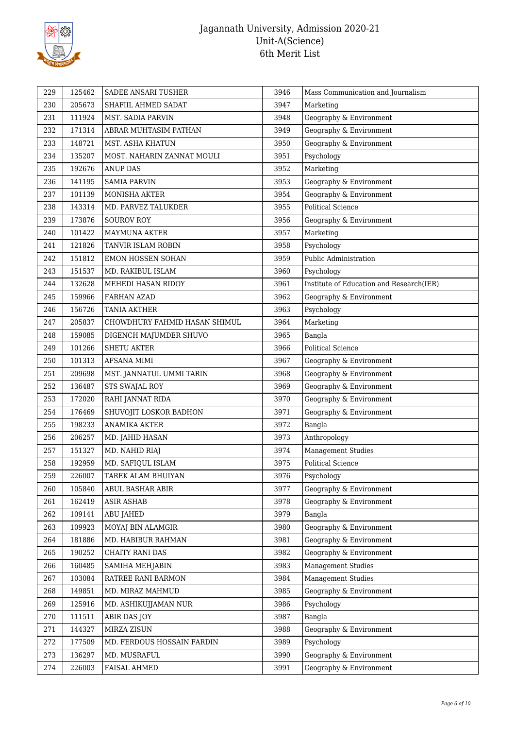

| 229 | 125462 | SADEE ANSARI TUSHER           | 3946 | Mass Communication and Journalism        |
|-----|--------|-------------------------------|------|------------------------------------------|
| 230 | 205673 | SHAFIIL AHMED SADAT           | 3947 | Marketing                                |
| 231 | 111924 | <b>MST. SADIA PARVIN</b>      | 3948 | Geography & Environment                  |
| 232 | 171314 | ABRAR MUHTASIM PATHAN         | 3949 | Geography & Environment                  |
| 233 | 148721 | MST. ASHA KHATUN              | 3950 | Geography & Environment                  |
| 234 | 135207 | MOST. NAHARIN ZANNAT MOULI    | 3951 | Psychology                               |
| 235 | 192676 | <b>ANUP DAS</b>               | 3952 | Marketing                                |
| 236 | 141195 | <b>SAMIA PARVIN</b>           | 3953 | Geography & Environment                  |
| 237 | 101139 | <b>MONISHA AKTER</b>          | 3954 | Geography & Environment                  |
| 238 | 143314 | MD. PARVEZ TALUKDER           | 3955 | <b>Political Science</b>                 |
| 239 | 173876 | <b>SOUROV ROY</b>             | 3956 | Geography & Environment                  |
| 240 | 101422 | <b>MAYMUNA AKTER</b>          | 3957 | Marketing                                |
| 241 | 121826 | TANVIR ISLAM ROBIN            | 3958 | Psychology                               |
| 242 | 151812 | <b>EMON HOSSEN SOHAN</b>      | 3959 | Public Administration                    |
| 243 | 151537 | MD. RAKIBUL ISLAM             | 3960 | Psychology                               |
| 244 | 132628 | MEHEDI HASAN RIDOY            | 3961 | Institute of Education and Research(IER) |
| 245 | 159966 | FARHAN AZAD                   | 3962 | Geography & Environment                  |
| 246 | 156726 | <b>TANIA AKTHER</b>           | 3963 | Psychology                               |
| 247 | 205837 | CHOWDHURY FAHMID HASAN SHIMUL | 3964 | Marketing                                |
| 248 | 159085 | DIGENCH MAJUMDER SHUVO        | 3965 | Bangla                                   |
| 249 | 101266 | <b>SHETU AKTER</b>            | 3966 | <b>Political Science</b>                 |
| 250 | 101313 | <b>AFSANA MIMI</b>            | 3967 | Geography & Environment                  |
| 251 | 209698 | MST. JANNATUL UMMI TARIN      | 3968 | Geography & Environment                  |
| 252 | 136487 | STS SWAJAL ROY                | 3969 | Geography & Environment                  |
| 253 | 172020 | RAHI JANNAT RIDA              | 3970 | Geography & Environment                  |
| 254 | 176469 | SHUVOJIT LOSKOR BADHON        | 3971 | Geography & Environment                  |
| 255 | 198233 | <b>ANAMIKA AKTER</b>          | 3972 | Bangla                                   |
| 256 | 206257 | MD. JAHID HASAN               | 3973 | Anthropology                             |
| 257 | 151327 | MD. NAHID RIAJ                | 3974 | Management Studies                       |
| 258 | 192959 | MD. SAFIQUL ISLAM             | 3975 | <b>Political Science</b>                 |
| 259 | 226007 | TAREK ALAM BHUIYAN            | 3976 | Psychology                               |
| 260 | 105840 | ABUL BASHAR ABIR              | 3977 | Geography & Environment                  |
| 261 | 162419 | <b>ASIR ASHAB</b>             | 3978 | Geography & Environment                  |
| 262 | 109141 | <b>ABU JAHED</b>              | 3979 | Bangla                                   |
| 263 | 109923 | MOYAJ BIN ALAMGIR             | 3980 | Geography & Environment                  |
| 264 | 181886 | MD. HABIBUR RAHMAN            | 3981 | Geography & Environment                  |
| 265 | 190252 | CHAITY RANI DAS               | 3982 | Geography & Environment                  |
| 266 | 160485 | SAMIHA MEHJABIN               | 3983 | <b>Management Studies</b>                |
| 267 | 103084 | RATREE RANI BARMON            | 3984 | <b>Management Studies</b>                |
| 268 | 149851 | MD. MIRAZ MAHMUD              | 3985 | Geography & Environment                  |
| 269 | 125916 | MD. ASHIKUJJAMAN NUR          | 3986 | Psychology                               |
| 270 | 111511 | ABIR DAS JOY                  | 3987 | Bangla                                   |
| 271 | 144327 | MIRZA ZISUN                   | 3988 | Geography & Environment                  |
| 272 | 177509 | MD. FERDOUS HOSSAIN FARDIN    | 3989 | Psychology                               |
| 273 | 136297 | MD. MUSRAFUL                  | 3990 | Geography & Environment                  |
| 274 | 226003 | FAISAL AHMED                  | 3991 | Geography & Environment                  |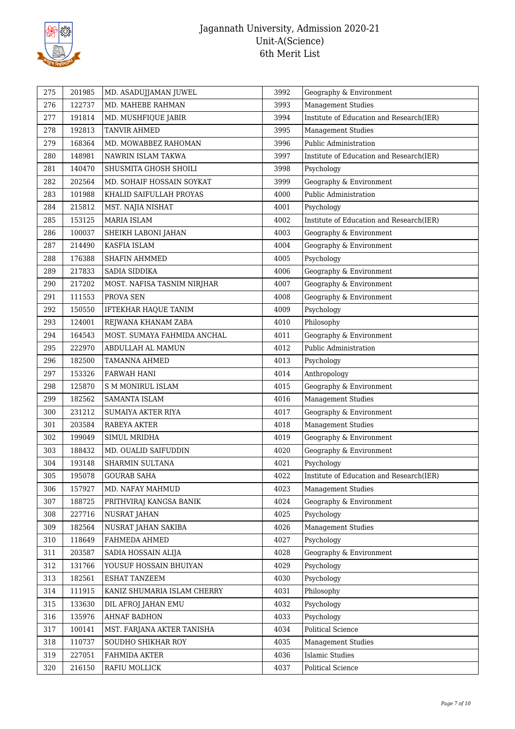

| 275 | 201985 | MD. ASADUJJAMAN JUWEL       | 3992 | Geography & Environment                  |
|-----|--------|-----------------------------|------|------------------------------------------|
| 276 | 122737 | MD. MAHEBE RAHMAN           | 3993 | <b>Management Studies</b>                |
| 277 | 191814 | MD. MUSHFIQUE JABIR         | 3994 | Institute of Education and Research(IER) |
| 278 | 192813 | TANVIR AHMED                | 3995 | <b>Management Studies</b>                |
| 279 | 168364 | MD. MOWABBEZ RAHOMAN        | 3996 | Public Administration                    |
| 280 | 148981 | NAWRIN ISLAM TAKWA          | 3997 | Institute of Education and Research(IER) |
| 281 | 140470 | SHUSMITA GHOSH SHOILI       | 3998 | Psychology                               |
| 282 | 202564 | MD. SOHAIF HOSSAIN SOYKAT   | 3999 | Geography & Environment                  |
| 283 | 101988 | KHALID SAIFULLAH PROYAS     | 4000 | Public Administration                    |
| 284 | 215812 | MST. NAJIA NISHAT           | 4001 | Psychology                               |
| 285 | 153125 | MARIA ISLAM                 | 4002 | Institute of Education and Research(IER) |
| 286 | 100037 | SHEIKH LABONI JAHAN         | 4003 | Geography & Environment                  |
| 287 | 214490 | KASFIA ISLAM                | 4004 | Geography & Environment                  |
| 288 | 176388 | <b>SHAFIN AHMMED</b>        | 4005 | Psychology                               |
| 289 | 217833 | SADIA SIDDIKA               | 4006 | Geography & Environment                  |
| 290 | 217202 | MOST. NAFISA TASNIM NIRJHAR | 4007 | Geography & Environment                  |
| 291 | 111553 | PROVA SEN                   | 4008 | Geography & Environment                  |
| 292 | 150550 | IFTEKHAR HAQUE TANIM        | 4009 | Psychology                               |
| 293 | 124001 | REJWANA KHANAM ZABA         | 4010 | Philosophy                               |
| 294 | 164543 | MOST. SUMAYA FAHMIDA ANCHAL | 4011 | Geography & Environment                  |
| 295 | 222970 | ABDULLAH AL MAMUN           | 4012 | Public Administration                    |
| 296 | 182500 | <b>TAMANNA AHMED</b>        | 4013 | Psychology                               |
| 297 | 153326 | <b>FARWAH HANI</b>          | 4014 | Anthropology                             |
| 298 | 125870 | <b>S M MONIRUL ISLAM</b>    | 4015 | Geography & Environment                  |
| 299 | 182562 | SAMANTA ISLAM               | 4016 | <b>Management Studies</b>                |
| 300 | 231212 | <b>SUMAIYA AKTER RIYA</b>   | 4017 | Geography & Environment                  |
| 301 | 203584 | RABEYA AKTER                | 4018 | <b>Management Studies</b>                |
| 302 | 199049 | SIMUL MRIDHA                | 4019 | Geography & Environment                  |
| 303 | 188432 | MD. OUALID SAIFUDDIN        | 4020 | Geography & Environment                  |
| 304 | 193148 | SHARMIN SULTANA             | 4021 | Psychology                               |
| 305 | 195078 | <b>GOURAB SAHA</b>          | 4022 | Institute of Education and Research(IER) |
| 306 | 157927 | MD. NAFAY MAHMUD            | 4023 | <b>Management Studies</b>                |
| 307 | 188725 | PRITHVIRAJ KANGSA BANIK     | 4024 | Geography & Environment                  |
| 308 | 227716 | <b>NUSRAT JAHAN</b>         | 4025 | Psychology                               |
| 309 | 182564 | NUSRAT JAHAN SAKIBA         | 4026 | <b>Management Studies</b>                |
| 310 | 118649 | FAHMEDA AHMED               | 4027 | Psychology                               |
| 311 | 203587 | SADIA HOSSAIN ALIJA         | 4028 | Geography & Environment                  |
| 312 | 131766 | YOUSUF HOSSAIN BHUIYAN      | 4029 | Psychology                               |
| 313 | 182561 | ESHAT TANZEEM               | 4030 | Psychology                               |
| 314 | 111915 | KANIZ SHUMARIA ISLAM CHERRY | 4031 | Philosophy                               |
| 315 | 133630 | DIL AFROJ JAHAN EMU         | 4032 | Psychology                               |
| 316 | 135976 | AHNAF BADHON                | 4033 | Psychology                               |
| 317 | 100141 | MST. FARJANA AKTER TANISHA  | 4034 | Political Science                        |
| 318 | 110737 | SOUDHO SHIKHAR ROY          | 4035 | <b>Management Studies</b>                |
| 319 | 227051 | FAHMIDA AKTER               | 4036 | <b>Islamic Studies</b>                   |
| 320 | 216150 | RAFIU MOLLICK               | 4037 | Political Science                        |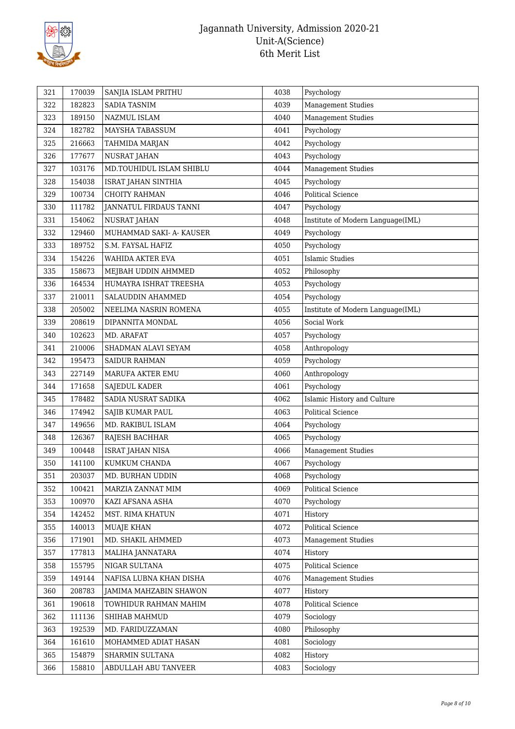

| 321 | 170039 | SANJIA ISLAM PRITHU        | 4038 | Psychology                        |
|-----|--------|----------------------------|------|-----------------------------------|
| 322 | 182823 | SADIA TASNIM               | 4039 | <b>Management Studies</b>         |
| 323 | 189150 | NAZMUL ISLAM               | 4040 | <b>Management Studies</b>         |
| 324 | 182782 | MAYSHA TABASSUM            | 4041 | Psychology                        |
| 325 | 216663 | TAHMIDA MARJAN             | 4042 | Psychology                        |
| 326 | 177677 | NUSRAT JAHAN               | 4043 | Psychology                        |
| 327 | 103176 | MD.TOUHIDUL ISLAM SHIBLU   | 4044 | <b>Management Studies</b>         |
| 328 | 154038 | <b>ISRAT JAHAN SINTHIA</b> | 4045 | Psychology                        |
| 329 | 100734 | <b>CHOITY RAHMAN</b>       | 4046 | <b>Political Science</b>          |
| 330 | 111782 | JANNATUL FIRDAUS TANNI     | 4047 | Psychology                        |
| 331 | 154062 | NUSRAT JAHAN               | 4048 | Institute of Modern Language(IML) |
| 332 | 129460 | MUHAMMAD SAKI- A- KAUSER   | 4049 | Psychology                        |
| 333 | 189752 | S.M. FAYSAL HAFIZ          | 4050 | Psychology                        |
| 334 | 154226 | <b>WAHIDA AKTER EVA</b>    | 4051 | <b>Islamic Studies</b>            |
| 335 | 158673 | MEJBAH UDDIN AHMMED        | 4052 | Philosophy                        |
| 336 | 164534 | HUMAYRA ISHRAT TREESHA     | 4053 | Psychology                        |
| 337 | 210011 | SALAUDDIN AHAMMED          | 4054 | Psychology                        |
| 338 | 205002 | NEELIMA NASRIN ROMENA      | 4055 | Institute of Modern Language(IML) |
| 339 | 208619 | DIPANNITA MONDAL           | 4056 | Social Work                       |
| 340 | 102623 | MD. ARAFAT                 | 4057 | Psychology                        |
| 341 | 210006 | SHADMAN ALAVI SEYAM        | 4058 | Anthropology                      |
| 342 | 195473 | <b>SAIDUR RAHMAN</b>       | 4059 | Psychology                        |
| 343 | 227149 | MARUFA AKTER EMU           | 4060 | Anthropology                      |
| 344 | 171658 | <b>SAJEDUL KADER</b>       | 4061 | Psychology                        |
| 345 | 178482 | SADIA NUSRAT SADIKA        | 4062 | Islamic History and Culture       |
| 346 | 174942 | SAJIB KUMAR PAUL           | 4063 | <b>Political Science</b>          |
| 347 | 149656 | MD. RAKIBUL ISLAM          | 4064 | Psychology                        |
| 348 | 126367 | RAJESH BACHHAR             | 4065 | Psychology                        |
| 349 | 100448 | <b>ISRAT JAHAN NISA</b>    | 4066 | <b>Management Studies</b>         |
| 350 | 141100 | KUMKUM CHANDA              | 4067 | Psychology                        |
| 351 | 203037 | MD. BURHAN UDDIN           | 4068 | Psychology                        |
| 352 | 100421 | MARZIA ZANNAT MIM          | 4069 | Political Science                 |
| 353 | 100970 | KAZI AFSANA ASHA           | 4070 | Psychology                        |
| 354 | 142452 | MST. RIMA KHATUN           | 4071 | History                           |
| 355 | 140013 | <b>MUAJE KHAN</b>          | 4072 | Political Science                 |
| 356 | 171901 | MD. SHAKIL AHMMED          | 4073 | <b>Management Studies</b>         |
| 357 | 177813 | MALIHA JANNATARA           | 4074 | History                           |
| 358 | 155795 | NIGAR SULTANA              | 4075 | Political Science                 |
| 359 | 149144 | NAFISA LUBNA KHAN DISHA    | 4076 | <b>Management Studies</b>         |
| 360 | 208783 | JAMIMA MAHZABIN SHAWON     | 4077 | History                           |
| 361 | 190618 | TOWHIDUR RAHMAN MAHIM      | 4078 | Political Science                 |
| 362 | 111136 | SHIHAB MAHMUD              | 4079 | Sociology                         |
| 363 | 192539 | MD. FARIDUZZAMAN           | 4080 | Philosophy                        |
| 364 | 161610 | MOHAMMED ADIAT HASAN       | 4081 | Sociology                         |
| 365 | 154879 | SHARMIN SULTANA            | 4082 | History                           |
| 366 | 158810 | ABDULLAH ABU TANVEER       | 4083 | Sociology                         |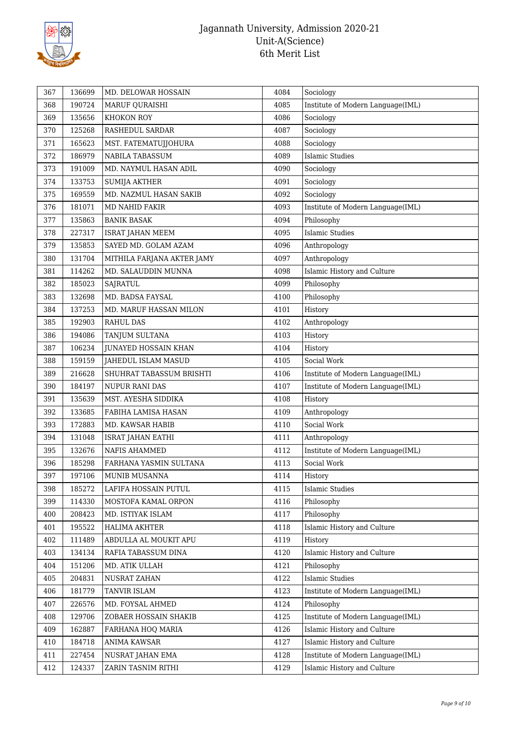

| 367 | 136699 | MD. DELOWAR HOSSAIN         | 4084 | Sociology                         |
|-----|--------|-----------------------------|------|-----------------------------------|
| 368 | 190724 | MARUF QURAISHI              | 4085 | Institute of Modern Language(IML) |
| 369 | 135656 | KHOKON ROY                  | 4086 | Sociology                         |
| 370 | 125268 | RASHEDUL SARDAR             | 4087 | Sociology                         |
| 371 | 165623 | MST. FATEMATUJJOHURA        | 4088 | Sociology                         |
| 372 | 186979 | NABILA TABASSUM             | 4089 | <b>Islamic Studies</b>            |
| 373 | 191009 | MD. NAYMUL HASAN ADIL       | 4090 | Sociology                         |
| 374 | 133753 | <b>SUMIJA AKTHER</b>        | 4091 | Sociology                         |
| 375 | 169559 | MD. NAZMUL HASAN SAKIB      | 4092 | Sociology                         |
| 376 | 181071 | MD NAHID FAKIR              | 4093 | Institute of Modern Language(IML) |
| 377 | 135863 | <b>BANIK BASAK</b>          | 4094 | Philosophy                        |
| 378 | 227317 | <b>ISRAT JAHAN MEEM</b>     | 4095 | <b>Islamic Studies</b>            |
| 379 | 135853 | SAYED MD. GOLAM AZAM        | 4096 | Anthropology                      |
| 380 | 131704 | MITHILA FARJANA AKTER JAMY  | 4097 | Anthropology                      |
| 381 | 114262 | MD. SALAUDDIN MUNNA         | 4098 | Islamic History and Culture       |
| 382 | 185023 | <b>SAJRATUL</b>             | 4099 | Philosophy                        |
| 383 | 132698 | MD. BADSA FAYSAL            | 4100 | Philosophy                        |
| 384 | 137253 | MD. MARUF HASSAN MILON      | 4101 | History                           |
| 385 | 192903 | <b>RAHUL DAS</b>            | 4102 | Anthropology                      |
| 386 | 194086 | TANJUM SULTANA              | 4103 | History                           |
| 387 | 106234 | <b>JUNAYED HOSSAIN KHAN</b> | 4104 | History                           |
| 388 | 159159 | JAHEDUL ISLAM MASUD         | 4105 | Social Work                       |
| 389 | 216628 | SHUHRAT TABASSUM BRISHTI    | 4106 | Institute of Modern Language(IML) |
| 390 | 184197 | <b>NUPUR RANI DAS</b>       | 4107 | Institute of Modern Language(IML) |
| 391 | 135639 | MST. AYESHA SIDDIKA         | 4108 | History                           |
| 392 | 133685 | FABIHA LAMISA HASAN         | 4109 | Anthropology                      |
| 393 | 172883 | MD. KAWSAR HABIB            | 4110 | Social Work                       |
| 394 | 131048 | ISRAT JAHAN EATHI           | 4111 | Anthropology                      |
| 395 | 132676 | NAFIS AHAMMED               | 4112 | Institute of Modern Language(IML) |
| 396 | 185298 | FARHANA YASMIN SULTANA      | 4113 | Social Work                       |
| 397 | 197106 | MUNIB MUSANNA               | 4114 | History                           |
| 398 | 185272 | LAFIFA HOSSAIN PUTUL        | 4115 | <b>Islamic Studies</b>            |
| 399 | 114330 | MOSTOFA KAMAL ORPON         | 4116 | Philosophy                        |
| 400 | 208423 | MD. ISTIYAK ISLAM           | 4117 | Philosophy                        |
| 401 | 195522 | HALIMA AKHTER               | 4118 | Islamic History and Culture       |
| 402 | 111489 | ABDULLA AL MOUKIT APU       | 4119 | History                           |
| 403 | 134134 | RAFIA TABASSUM DINA         | 4120 | Islamic History and Culture       |
| 404 | 151206 | MD. ATIK ULLAH              | 4121 | Philosophy                        |
| 405 | 204831 | NUSRAT ZAHAN                | 4122 | <b>Islamic Studies</b>            |
| 406 | 181779 | TANVIR ISLAM                | 4123 | Institute of Modern Language(IML) |
| 407 | 226576 | MD. FOYSAL AHMED            | 4124 | Philosophy                        |
| 408 | 129706 | ZOBAER HOSSAIN SHAKIB       | 4125 | Institute of Modern Language(IML) |
| 409 | 162887 | FARHANA HOQ MARIA           | 4126 | Islamic History and Culture       |
| 410 | 184718 | ANIMA KAWSAR                | 4127 | Islamic History and Culture       |
| 411 | 227454 | NUSRAT JAHAN EMA            | 4128 | Institute of Modern Language(IML) |
| 412 | 124337 | ZARIN TASNIM RITHI          | 4129 | Islamic History and Culture       |